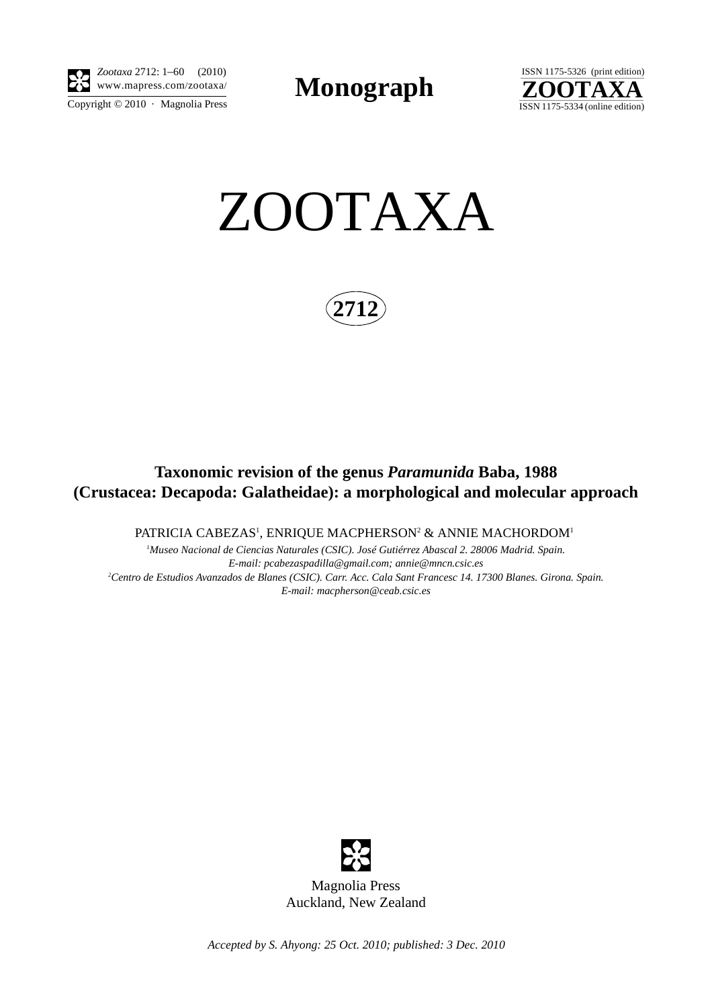

Copyright  $\odot$  2010 · Magnolia Press *Zootaxa* 2712: 1–60 (2010)

**Monograph** 



ZOOTAXA

**2712**

## **Taxonomic revision of the genus** *Paramunida* **Baba, 1988 (Crustacea: Decapoda: Galatheidae): a morphological and molecular approach**

PATRICIA CABEZAS<sup>1</sup>, ENRIQUE MACPHERSON<sup>2</sup> & ANNIE MACHORDOM<sup>1</sup>

*1 Museo Nacional de Ciencias Naturales (CSIC). José Gutiérrez Abascal 2. 28006 Madrid. Spain. E-mail: pcabezaspadilla@gmail.com; annie@mncn.csic.es 2 Centro de Estudios Avanzados de Blanes (CSIC). Carr. Acc. Cala Sant Francesc 14. 17300 Blanes. Girona. Spain. E-mail: macpherson@ceab.csic.es*



*Accepted by S. Ahyong: 25 Oct. 2010; published: 3 Dec. 2010*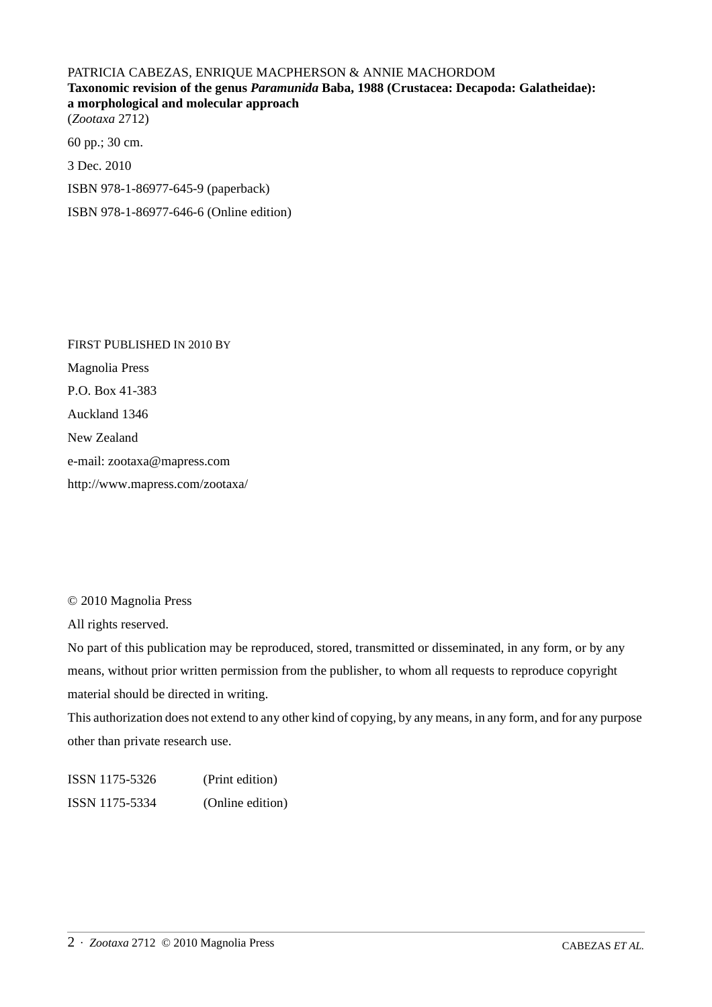## PATRICIA CABEZAS, ENRIQUE MACPHERSON & ANNIE MACHORDOM **Taxonomic revision of the genus** *Paramunida* **Baba, 1988 (Crustacea: Decapoda: Galatheidae): a morphological and molecular approach** (*Zootaxa* 2712)

60 pp.; 30 cm. 3 Dec. 2010 ISBN 978-1-86977-645-9 (paperback) ISBN 978-1-86977-646-6 (Online edition)

FIRST PUBLISHED IN 2010 BY Magnolia Press P.O. Box 41-383 Auckland 1346 New Zealand e-mail: zootaxa@mapress.com http://www.mapress.com/zootaxa/

© 2010 Magnolia Press

All rights reserved.

No part of this publication may be reproduced, stored, transmitted or disseminated, in any form, or by any means, without prior written permission from the publisher, to whom all requests to reproduce copyright material should be directed in writing.

This authorization does not extend to any other kind of copying, by any means, in any form, and for any purpose other than private research use.

ISSN 1175-5326 (Print edition) ISSN 1175-5334 (Online edition)